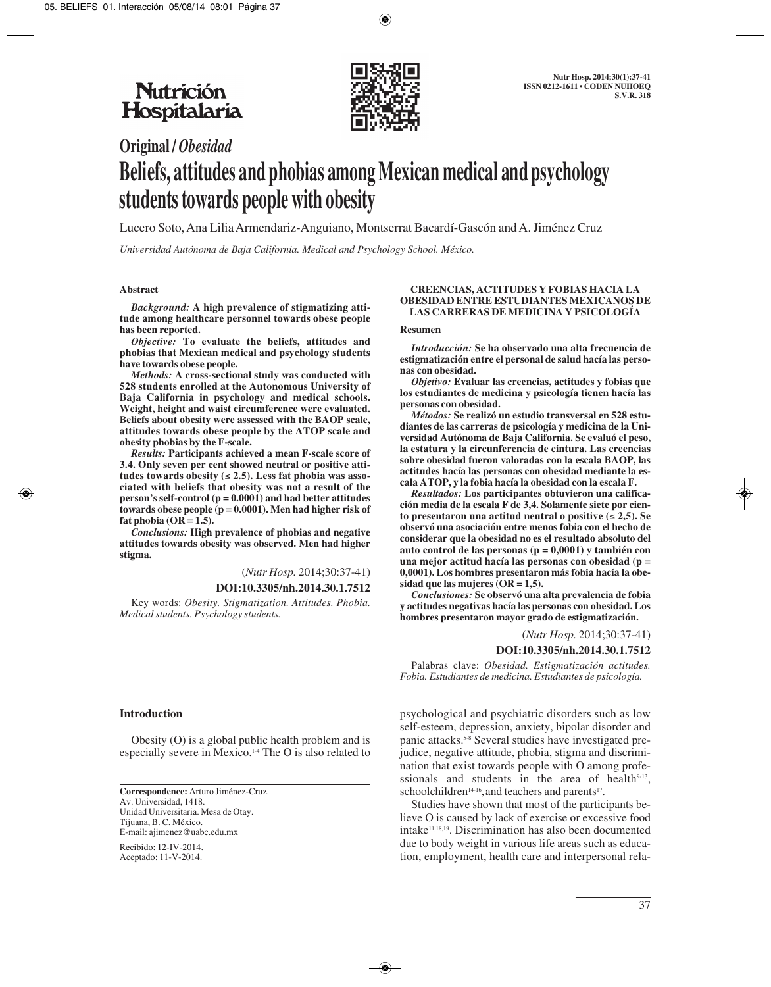

# **Original /** *Obesidad* **Beliefs, attitudes and phobias among Mexican medical and psychology students towards people with obesity**

Lucero Soto, Ana Lilia Armendariz-Anguiano, Montserrat Bacardí-Gascón and A. Jiménez Cruz

*Universidad Autónoma de Baja California. Medical and Psychology School. México.*

#### **Abstract**

*Background:* **A high prevalence of stigmatizing attitude among healthcare personnel towards obese people has been reported.**

*Objective:* **To evaluate the beliefs, attitudes and phobias that Mexican medical and psychology students have towards obese people.**

*Methods:* **A cross-sectional study was conducted with 528 students enrolled at the Autonomous University of Baja California in psychology and medical schools. Weight, height and waist circumference were evaluated. Beliefs about obesity were assessed with the BAOP scale, attitudes towards obese people by the ATOP scale and obesity phobias by the F-scale.**

*Results:* **Participants achieved a mean F-scale score of 3.4. Only seven per cent showed neutral or positive attitudes towards obesity (**≤ **2.5). Less fat phobia was associated with beliefs that obesity was not a result of the person's self-control (p = 0.0001) and had better attitudes towards obese people (p = 0.0001). Men had higher risk of fat phobia (OR = 1.5).** 

*Conclusions:* **High prevalence of phobias and negative attitudes towards obesity was observed. Men had higher stigma.**

(*Nutr Hosp.* 2014;30:37-41)

#### **DOI:10.3305/nh.2014.30.1.7512**

Key words: *Obesity. Stigmatization. Attitudes. Phobia. Medical students. Psychology students.*

#### **Introduction**

Obesity (O) is a global public health problem and is especially severe in Mexico.1-4 The O is also related to

**Correspondence:** Arturo Jiménez-Cruz. Av. Universidad, 1418. Unidad Universitaria. Mesa de Otay. Tijuana, B. C. México. E-mail: ajimenez@uabc.edu.mx

Recibido: 12-IV-2014. Aceptado: 11-V-2014.

#### **CREENCIAS, ACTITUDES Y FOBIAS HACIA LA OBESIDAD ENTRE ESTUDIANTES MEXICANOS DE LAS CARRERAS DE MEDICINA Y PSICOLOGÍA**

#### **Resumen**

*Introducción:* **Se ha observado una alta frecuencia de estigmatización entre el personal de salud hacía las personas con obesidad.**

*Objetivo:* **Evaluar las creencias, actitudes y fobias que los estudiantes de medicina y psicología tienen hacía las personas con obesidad.**

*Métodos:* **Se realizó un estudio transversal en 528 estudiantes de las carreras de psicología y medicina de la Universidad Autónoma de Baja California. Se evaluó el peso, la estatura y la circunferencia de cintura. Las creencias sobre obesidad fueron valoradas con la escala BAOP, las actitudes hacía las personas con obesidad mediante la escala ATOP, y la fobia hacía la obesidad con la escala F.**

*Resultados:* **Los participantes obtuvieron una calificación media de la escala F de 3,4. Solamente siete por ciento presentaron una actitud neutral o positive (**≤ **2,5). Se observó una asociación entre menos fobia con el hecho de considerar que la obesidad no es el resultado absoluto del auto control de las personas (p = 0,0001) y también con una mejor actitud hacía las personas con obesidad (p = 0,0001). Los hombres presentaron más fobia hacía la obesidad que las mujeres (OR = 1,5).** 

*Conclusiones:* **Se observó una alta prevalencia de fobia y actitudes negativas hacía las personas con obesidad. Los hombres presentaron mayor grado de estigmatización.**

(*Nutr Hosp.* 2014;30:37-41)

#### **DOI:10.3305/nh.2014.30.1.7512**

Palabras clave: *Obesidad. Estigmatización actitudes. Fobia. Estudiantes de medicina. Estudiantes de psicología.*

psychological and psychiatric disorders such as low self-esteem, depression, anxiety, bipolar disorder and panic attacks.<sup>5-8</sup> Several studies have investigated prejudice, negative attitude, phobia, stigma and discrimination that exist towards people with O among profe ssionals and students in the area of health $9-13$ , schoolchildren<sup>14-16</sup>, and teachers and parents<sup>17</sup>.

Studies have shown that most of the participants believe O is caused by lack of exercise or excessive food intake11,18,19. Discrimination has also been documented due to body weight in various life areas such as education, employment, health care and interpersonal rela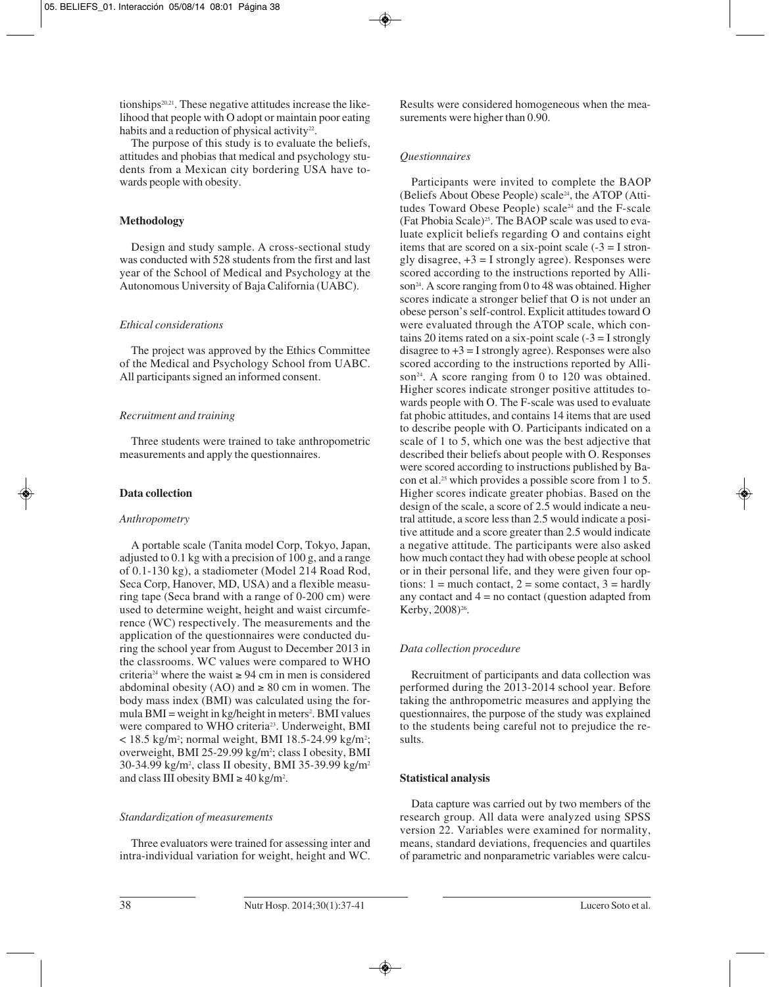tionships<sup>20,21</sup>. These negative attitudes increase the likelihood that people with O adopt or maintain poor eating habits and a reduction of physical activity<sup>22</sup>.

The purpose of this study is to evaluate the beliefs, attitudes and phobias that medical and psychology students from a Mexican city bordering USA have towards people with obesity.

### **Methodology**

Design and study sample. A cross-sectional study was conducted with 528 students from the first and last year of the School of Medical and Psychology at the Autonomous University of Baja California (UABC).

## *Ethical considerations*

The project was approved by the Ethics Committee of the Medical and Psychology School from UABC. All participants signed an informed consent.

## *Recruitment and training*

Three students were trained to take anthropometric measurements and apply the questionnaires.

## **Data collection**

### *Anthropometry*

A portable scale (Tanita model Corp, Tokyo, Japan, adjusted to 0.1 kg with a precision of 100 g, and a range of 0.1-130 kg), a stadiometer (Model 214 Road Rod, Seca Corp, Hanover, MD, USA) and a flexible measuring tape (Seca brand with a range of 0-200 cm) were used to determine weight, height and waist circumference (WC) respectively. The measurements and the application of the questionnaires were conducted during the school year from August to December 2013 in the classrooms. WC values were compared to WHO criteria<sup>24</sup> where the waist  $\geq$  94 cm in men is considered abdominal obesity (AO) and  $\geq 80$  cm in women. The body mass index (BMI) was calculated using the formula BMI = weight in kg/height in meters<sup>2</sup>. BMI values were compared to WHO criteria<sup>23</sup>. Underweight, BMI  $<$  18.5 kg/m<sup>2</sup>; normal weight, BMI 18.5-24.99 kg/m<sup>2</sup>; overweight, BMI 25-29.99 kg/m<sup>2</sup>; class I obesity, BMI 30-34.99 kg/m<sup>2</sup>, class II obesity, BMI 35-39.99 kg/m<sup>2</sup> and class III obesity  $\text{BMI} \geq 40 \text{ kg/m}^2$ .

### *Standardization of measurements*

Three evaluators were trained for assessing inter and intra-individual variation for weight, height and WC. Results were considered homogeneous when the measurements were higher than 0.90.

## *Questionnaires*

Participants were invited to complete the BAOP (Beliefs About Obese People) scale24, the ATOP (Attitudes Toward Obese People) scale<sup>24</sup> and the F-scale (Fat Phobia Scale)<sup>25</sup>. The BAOP scale was used to evaluate explicit beliefs regarding O and contains eight items that are scored on a six-point scale  $(-3) = I$  strongly disagree,  $+3 = I$  strongly agree). Responses were scored according to the instructions reported by Allison<sup>24</sup>. A score ranging from 0 to 48 was obtained. Higher scores indicate a stronger belief that O is not under an obese person's self-control. Explicit attitudes toward O were evaluated through the ATOP scale, which contains 20 items rated on a six-point scale  $(-3 = I \text{ strongly})$ disagree to  $+3 = I$  strongly agree). Responses were also scored according to the instructions reported by Allison<sup>24</sup>. A score ranging from 0 to 120 was obtained. Higher scores indicate stronger positive attitudes towards people with O. The F-scale was used to evaluate fat phobic attitudes, and contains 14 items that are used to describe people with O. Participants indicated on a scale of 1 to 5, which one was the best adjective that des cribed their beliefs about people with O. Responses were scored according to instructions published by Bacon et al.25 which provides a possible score from 1 to 5. Higher scores indicate greater phobias. Based on the design of the scale, a score of 2.5 would indicate a neutral attitude, a score less than 2.5 would indicate a positive attitude and a score greater than 2.5 would indicate a negative attitude. The participants were also asked how much contact they had with obese people at school or in their personal life, and they were given four options:  $1 =$  much contact,  $2 =$  some contact,  $3 =$  hardly any contact and  $4 = no$  contact (question adapted from Kerby, 2008)<sup>26</sup>.

# *Data collection procedure*

Recruitment of participants and data collection was performed during the 2013-2014 school year. Before taking the anthropometric measures and applying the questionnaires, the purpose of the study was explained to the students being careful not to prejudice the results.

### **Statistical analysis**

Data capture was carried out by two members of the research group. All data were analyzed using SPSS version 22. Variables were examined for normality, means, standard deviations, frequencies and quartiles of parametric and nonparametric variables were calcu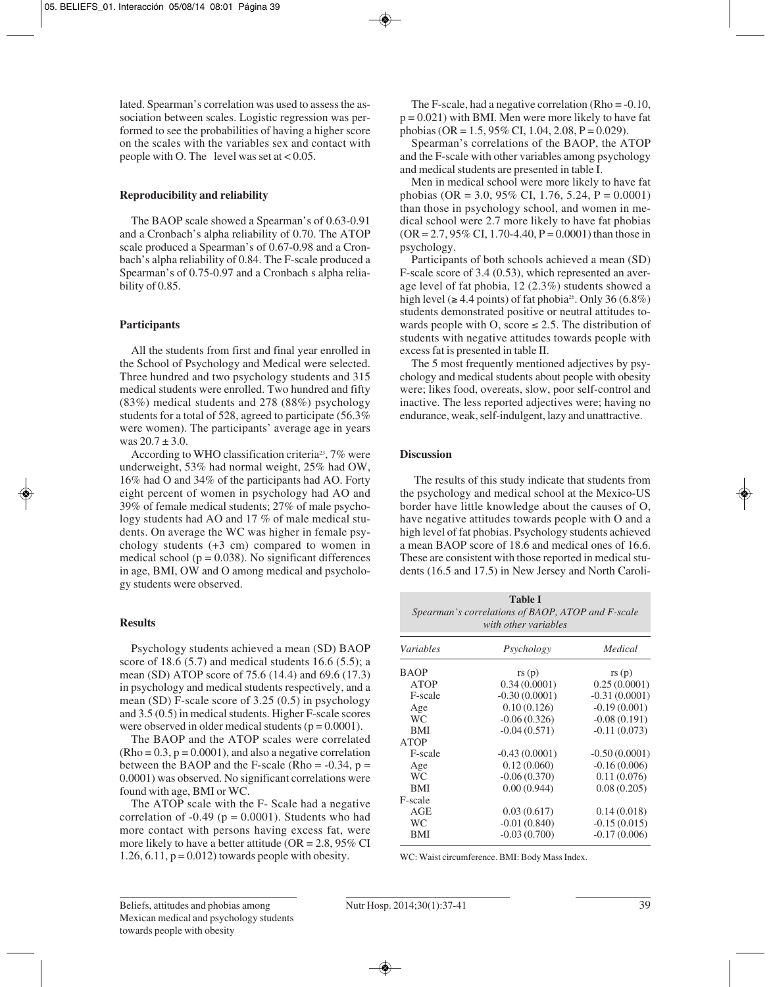lated. Spearman's correlation was used to assess the association between scales. Logistic regression was performed to see the probabilities of having a higher score on the scales with the variables sex and contact with people with O. The level was set at  $< 0.05$ .

#### **Reproducibility and reliability**

The BAOP scale showed a Spearman's of 0.63-0.91 and a Cronbach's alpha reliability of 0.70. The ATOP scale produced a Spearman's of 0.67-0.98 and a Cronbach's alpha reliability of 0.84. The F-scale produced a Spearman's of 0.75-0.97 and a Cronbach s alpha reliability of 0.85.

#### **Participants**

All the students from first and final year enrolled in the School of Psychology and Medical were selected. Three hundred and two psychology students and 315 medical students were enrolled. Two hundred and fifty (83%) medical students and 278 (88%) psychology students for a total of 528, agreed to participate (56.3% were women). The participants' average age in years was  $20.7 \pm 3.0$ .

According to WHO classification criteria<sup>23</sup>, 7% were underweight, 53% had normal weight, 25% had OW, 16% had O and 34% of the participants had AO. Forty eight percent of women in psychology had AO and 39% of female medical students; 27% of male psycho logy students had AO and 17 % of male medical students. On average the WC was higher in female psychology students (+3 cm) compared to women in medical school ( $p = 0.038$ ). No significant differences in age, BMI, OW and O among medical and psychology students were observed.

### **Results**

Psychology students achieved a mean (SD) BAOP score of 18.6 (5.7) and medical students 16.6 (5.5); a mean (SD) ATOP score of 75.6 (14.4) and 69.6 (17.3) in psychology and medical students respectively, and a mean (SD) F-scale score of 3.25 (0.5) in psychology and 3.5 (0.5) in medical students. Higher F-scale scores were observed in older medical students ( $p = 0.0001$ ).

The BAOP and the ATOP scales were correlated  $(Rho = 0.3, p = 0.0001)$ , and also a negative correlation between the BAOP and the F-scale (Rho =  $-0.34$ , p = 0.0001) was observed. No significant correlations were found with age, BMI or WC.

The ATOP scale with the F- Scale had a negative correlation of  $-0.49$  ( $p = 0.0001$ ). Students who had more contact with persons having excess fat, were more likely to have a better attitude ( $OR = 2.8$ ,  $95\%$  CI 1.26, 6.11,  $p = 0.012$ ) towards people with obesity.

The F-scale, had a negative correlation (Rho  $= -0.10$ ,  $p = 0.021$ ) with BMI. Men were more likely to have fat phobias (OR = 1.5, 95% CI, 1.04, 2.08, P = 0.029).

Spearman's correlations of the BAOP, the ATOP and the F-scale with other variables among psychology and medical students are presented in table I.

Men in medical school were more likely to have fat phobias (OR = 3.0, 95% CI, 1.76, 5.24, P = 0.0001) than those in psychology school, and women in me dical school were 2.7 more likely to have fat phobias  $(OR = 2.7, 95\% \text{ CI}, 1.70-4.40, P = 0.0001)$  than those in psychology.

Participants of both schools achieved a mean (SD) F-scale score of 3.4 (0.53), which represented an average level of fat phobia, 12 (2.3%) students showed a high level ( $\geq 4.4$  points) of fat phobia<sup>26</sup>. Only 36 (6.8%) students demonstrated positive or neutral attitudes towards people with O, score  $\leq 2.5$ . The distribution of students with negative attitudes towards people with excess fat is presented in table II.

The 5 most frequently mentioned adjectives by psychology and medical students about people with obesity were; likes food, overeats, slow, poor self-control and inactive. The less reported adjectives were; having no endurance, weak, self-indulgent, lazy and unattractive.

#### **Discussion**

The results of this study indicate that students from the psychology and medical school at the Mexico-US border have little knowledge about the causes of O, have negative attitudes towards people with O and a high level of fat phobias. Psychology students achieved a mean BAOP score of 18.6 and medical ones of 16.6. These are consistent with those reported in medical students (16.5 and 17.5) in New Jersey and North Caroli-

| <b>Table I</b><br>Spearman's correlations of BAOP, ATOP and F-scale<br>with other variables |                 |                 |  |  |  |
|---------------------------------------------------------------------------------------------|-----------------|-----------------|--|--|--|
| Variables                                                                                   | Psychology      | Medical         |  |  |  |
| BAOP                                                                                        | rs(p)           | rs(p)           |  |  |  |
| <b>ATOP</b>                                                                                 | 0.34(0.0001)    | 0.25(0.0001)    |  |  |  |
| F-scale                                                                                     | $-0.30(0.0001)$ | $-0.31(0.0001)$ |  |  |  |
| Age                                                                                         | 0.10(0.126)     | $-0.19(0.001)$  |  |  |  |
| <b>WC</b>                                                                                   | $-0.06(0.326)$  | $-0.08(0.191)$  |  |  |  |
| <b>BMI</b>                                                                                  | $-0.04(0.571)$  | $-0.11(0.073)$  |  |  |  |
| ATOP                                                                                        |                 |                 |  |  |  |
| F-scale                                                                                     | $-0.43(0.0001)$ | $-0.50(0.0001)$ |  |  |  |
| Age                                                                                         | 0.12(0.060)     | $-0.16(0.006)$  |  |  |  |
| <b>WC</b>                                                                                   | $-0.06(0.370)$  | 0.11(0.076)     |  |  |  |
| <b>BMI</b>                                                                                  | 0.00(0.944)     | 0.08(0.205)     |  |  |  |
| F-scale                                                                                     |                 |                 |  |  |  |
| AGE                                                                                         | 0.03(0.617)     | 0.14(0.018)     |  |  |  |
| WC                                                                                          | $-0.01(0.840)$  | $-0.15(0.015)$  |  |  |  |
| BMI                                                                                         | $-0.03(0.700)$  | $-0.17(0.006)$  |  |  |  |
|                                                                                             |                 |                 |  |  |  |

WC: Waist circumference. BMI: Body Mass Index.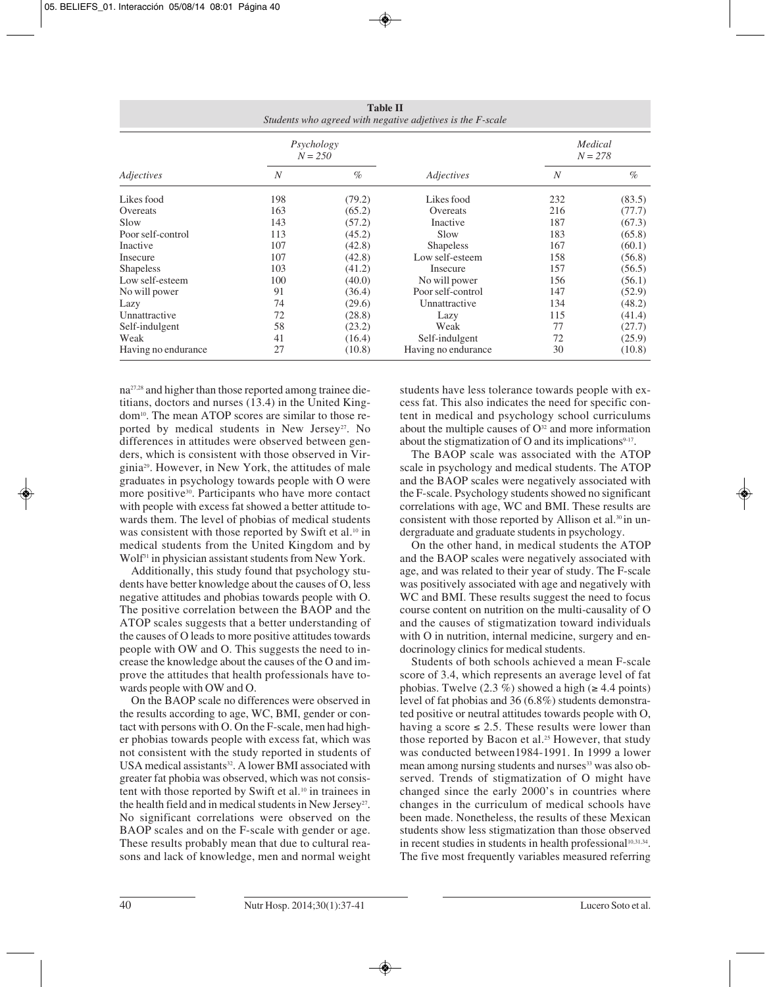| <b>Table II</b><br>Students who agreed with negative adjetives is the F-scale |                         |        |                     |                      |        |  |  |
|-------------------------------------------------------------------------------|-------------------------|--------|---------------------|----------------------|--------|--|--|
| Adjectives                                                                    | Psychology<br>$N = 250$ |        |                     | Medical<br>$N = 278$ |        |  |  |
|                                                                               | $\overline{N}$          | $\%$   | Adjectives          | $\boldsymbol{N}$     | $\%$   |  |  |
| Likes food                                                                    | 198                     | (79.2) | Likes food          | 232                  | (83.5) |  |  |
| Overeats                                                                      | 163                     | (65.2) | Overeats            | 216                  | (77.7) |  |  |
| Slow                                                                          | 143                     | (57.2) | Inactive            | 187                  | (67.3) |  |  |
| Poor self-control                                                             | 113                     | (45.2) | Slow                | 183                  | (65.8) |  |  |
| Inactive                                                                      | 107                     | (42.8) | <b>Shapeless</b>    | 167                  | (60.1) |  |  |
| Insecure                                                                      | 107                     | (42.8) | Low self-esteem     | 158                  | (56.8) |  |  |
| <b>Shapeless</b>                                                              | 103                     | (41.2) | Insecure            | 157                  | (56.5) |  |  |
| Low self-esteem                                                               | 100                     | (40.0) | No will power       | 156                  | (56.1) |  |  |
| No will power                                                                 | 91                      | (36.4) | Poor self-control   | 147                  | (52.9) |  |  |
| Lazy                                                                          | 74                      | (29.6) | Unnattractive       | 134                  | (48.2) |  |  |
| Unnattractive                                                                 | 72                      | (28.8) | Lazy                | 115                  | (41.4) |  |  |
| Self-indulgent                                                                | 58                      | (23.2) | Weak                | 77                   | (27.7) |  |  |
| Weak                                                                          | 41                      | (16.4) | Self-indulgent      | 72                   | (25.9) |  |  |
| Having no endurance                                                           | 27                      | (10.8) | Having no endurance | 30                   | (10.8) |  |  |

na27,28 and higher than those reported among trainee die titians, doctors and nurses (13.4) in the United Kingdom10. The mean ATOP scores are similar to those reported by medical students in New Jersey<sup>27</sup>. No differences in attitudes were observed between genders, which is consistent with those observed in Virginia29. However, in New York, the attitudes of male graduates in psychology towards people with O were more positive<sup>30</sup>. Participants who have more contact with people with excess fat showed a better attitude towards them. The level of phobias of medical students was consistent with those reported by Swift et al.<sup>10</sup> in medical students from the United Kingdom and by Wolf31 in physician assistant students from New York.

Additionally, this study found that psychology students have better knowledge about the causes of O, less negative attitudes and phobias towards people with O. The positive correlation between the BAOP and the ATOP scales suggests that a better understanding of the causes of O leads to more positive attitudes towards people with OW and O. This suggests the need to increase the knowledge about the causes of the O and improve the attitudes that health professionals have towards people with OW and O.

On the BAOP scale no differences were observed in the results according to age, WC, BMI, gender or contact with persons with O. On the F-scale, men had higher phobias towards people with excess fat, which was not consistent with the study reported in students of USA medical assistants<sup>32</sup>. A lower BMI associated with greater fat phobia was observed, which was not consistent with those reported by Swift et al.<sup>10</sup> in trainees in the health field and in medical students in New Jersey<sup>27</sup>. No significant correlations were observed on the BAOP scales and on the F-scale with gender or age. These results probably mean that due to cultural reasons and lack of knowledge, men and normal weight

students have less tolerance towards people with excess fat. This also indicates the need for specific content in medical and psychology school curriculums about the multiple causes of  $O<sup>32</sup>$  and more information about the stigmatization of O and its implications<sup>9-17</sup>.

The BAOP scale was associated with the ATOP scale in psychology and medical students. The ATOP and the BAOP scales were negatively associated with the F-scale. Psychology students showed no significant correlations with age, WC and BMI. These results are consistent with those reported by Allison et al.<sup>30</sup> in undergraduate and graduate students in psychology.

On the other hand, in medical students the ATOP and the BAOP scales were negatively associated with age, and was related to their year of study. The F-scale was positively associated with age and negatively with WC and BMI. These results suggest the need to focus course content on nutrition on the multi-causality of O and the causes of stigmatization toward individuals with O in nutrition, internal medicine, surgery and endocrinology clinics for medical students.

Students of both schools achieved a mean F-scale score of 3.4, which represents an average level of fat phobias. Twelve  $(2.3 \%)$  showed a high ( $\geq 4.4$  points) level of fat phobias and 36 (6.8%) students demonstra ted positive or neutral attitudes towards people with O, having a score  $\leq 2.5$ . These results were lower than those reported by Bacon et al.<sup>25</sup> However, that study was conducted between1984-1991. In 1999 a lower mean among nursing students and nurses<sup>33</sup> was also observed. Trends of stigmatization of O might have changed since the early 2000's in countries where changes in the curriculum of medical schools have been made. Nonetheless, the results of these Mexican students show less stigmatization than those observed in recent studies in students in health professional<sup>10,31,34</sup>. The five most frequently variables measured referring